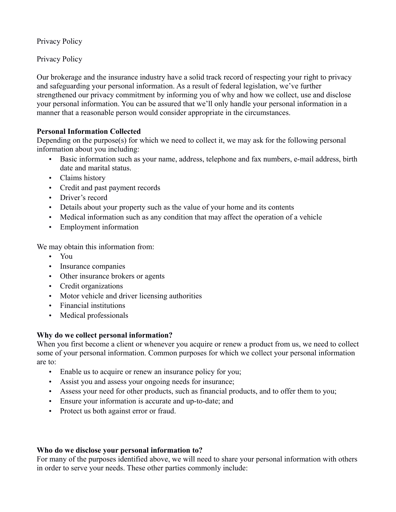Privacy Policy

Privacy Policy

Our brokerage and the insurance industry have a solid track record of respecting your right to privacy and safeguarding your personal information. As a result of federal legislation, we've further strengthened our privacy commitment by informing you of why and how we collect, use and disclose your personal information. You can be assured that we'll only handle your personal information in a manner that a reasonable person would consider appropriate in the circumstances.

# **Personal Information Collected**

Depending on the purpose(s) for which we need to collect it, we may ask for the following personal information about you including:

- Basic information such as your name, address, telephone and fax numbers, e-mail address, birth date and marital status.
- Claims history
- Credit and past payment records
- Driver's record
- Details about your property such as the value of your home and its contents
- Medical information such as any condition that may affect the operation of a vehicle
- Employment information

We may obtain this information from:

- You
- Insurance companies
- Other insurance brokers or agents
- Credit organizations
- Motor vehicle and driver licensing authorities
- Financial institutions
- Medical professionals

## **Why do we collect personal information?**

When you first become a client or whenever you acquire or renew a product from us, we need to collect some of your personal information. Common purposes for which we collect your personal information are to:

- Enable us to acquire or renew an insurance policy for you;
- Assist you and assess your ongoing needs for insurance;
- Assess your need for other products, such as financial products, and to offer them to you;
- Ensure your information is accurate and up-to-date; and
- Protect us both against error or fraud.

## **Who do we disclose your personal information to?**

For many of the purposes identified above, we will need to share your personal information with others in order to serve your needs. These other parties commonly include: